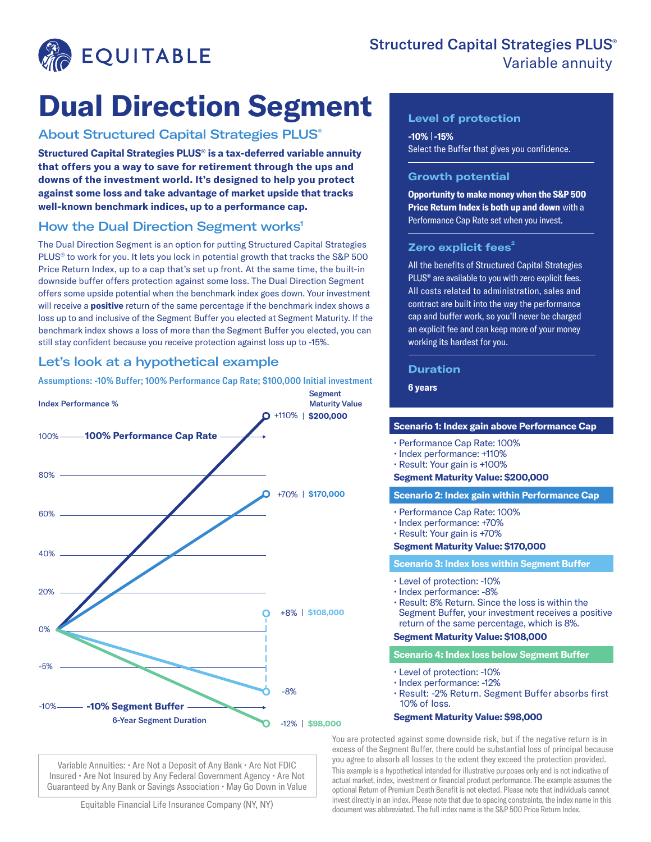

# Structured Capital Strategies PLUS<sup>®</sup> Variable annuity

# **Dual Direction Segment**

## About Structured Capital Strategies PLUS®

**Structured Capital Strategies PLUS® is a tax-deferred variable annuity that offers you a way to save for retirement through the ups and downs of the investment world. It's designed to help you protect against some loss and take advantage of market upside that tracks well-known benchmark indices, up to a performance cap.**

## How the Dual Direction Segment works<sup>1</sup>

The Dual Direction Segment is an option for putting Structured Capital Strategies PLUS® to work for you. It lets you lock in potential growth that tracks the S&P 500 Price Return Index, up to a cap that's set up front. At the same time, the built-in downside buffer offers protection against some loss. The Dual Direction Segment offers some upside potential when the benchmark index goes down. Your investment will receive a **positive** return of the same percentage if the benchmark index shows a loss up to and inclusive of the Segment Buffer you elected at Segment Maturity. If the benchmark index shows a loss of more than the Segment Buffer you elected, you can still stay confident because you receive protection against loss up to -15%.

# Let's look at a hypothetical example

Assumptions: -10% Buffer; 100% Performance Cap Rate; \$100,000 Initial investment



Variable Annuities: • Are Not a Deposit of Any Bank • Are Not FDIC Insured • Are Not Insured by Any Federal Government Agency • Are Not Guaranteed by Any Bank or Savings Association • May Go Down in Value

Equitable Financial Life Insurance Company (NY, NY)

## **Level of protection**

**-10% -15%**  Select the Buffer that gives you confidence.

### **Growth potential**

**Opportunity to make money when the S&P 500 Price Return Index is both up and down** with a Performance Cap Rate set when you invest.

## **Zero explicit fees<sup>2</sup>**

All the benefits of Structured Capital Strategies PLUS<sup>®</sup> are available to you with zero explicit fees. All costs related to administration, sales and contract are built into the way the performance cap and buffer work, so you'll never be charged an explicit fee and can keep more of your money working its hardest for you.

#### **Duration**

**6 years**

#### **Scenario 1: Index gain above Performance Cap**

- Performance Cap Rate: 100%
- Index performance: +110%
- Result: Your gain is +100%

#### **Segment Maturity Value: \$200,000**

#### **Scenario 2: Index gain within Performance Cap**

- Performance Cap Rate: 100%
- Index performance: +70%
- Result: Your gain is +70%

#### **Segment Maturity Value: \$170,000**

#### **Scenario 3: Index loss within Segment Buffer**

- Level of protection: -10%
- Index performance: -8%
- Result: 8% Return. Since the loss is within the Segment Buffer, your investment receives a positive return of the same percentage, which is 8%.

#### **Segment Maturity Value: \$108,000**

#### **Scenario 4: Index loss below Segment Buffer**

- Level of protection: -10%
- Index performance: -12%
- Result: -2% Return. Segment Buffer absorbs first 10% of loss.

#### **Segment Maturity Value: \$98,000**

You are protected against some downside risk, but if the negative return is in excess of the Segment Buffer, there could be substantial loss of principal because you agree to absorb all losses to the extent they exceed the protection provided. This example is a hypothetical intended for illustrative purposes only and is not indicative of actual market, index, investment or financial product performance. The example assumes the optional Return of Premium Death Benefit is not elected. Please note that individuals cannot invest directly in an index. Please note that due to spacing constraints, the index name in this document was abbreviated. The full index name is the S&P 500 Price Return Index.